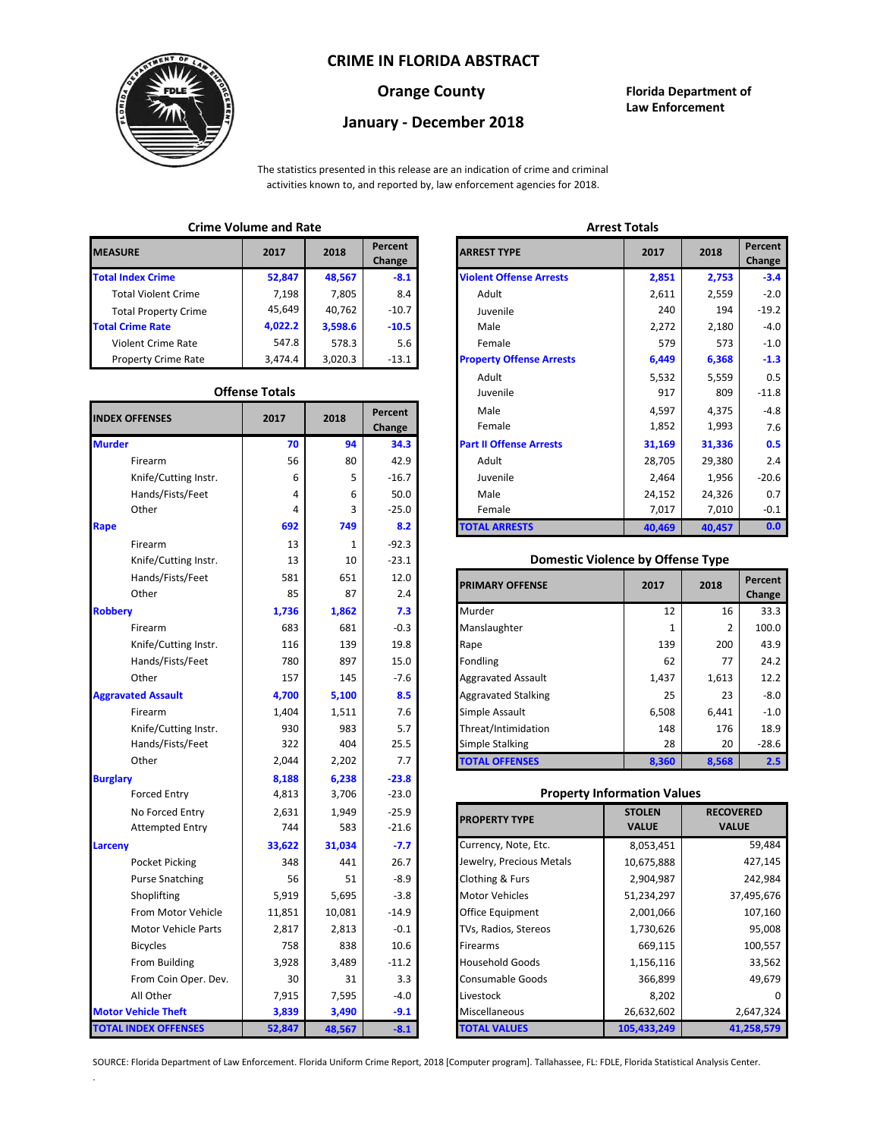## **CRIME IN FLORIDA ABSTRACT**



# **January - December 2018**

**Orange County Florida Department of Law Enforcement**

The statistics presented in this release are an indication of crime and criminal activities known to, and reported by, law enforcement agencies for 2018.

# **Crime Volume and Rate Arrest Totals**

| <b>MEASURE</b>              | 2017    | 2018    | Percent<br>Change | <b>ARREST TYPE</b>             |
|-----------------------------|---------|---------|-------------------|--------------------------------|
| <b>Total Index Crime</b>    | 52,847  | 48,567  | $-8.1$            | <b>Violent Offense Arrests</b> |
| <b>Total Violent Crime</b>  | 7.198   | 7,805   | 8.4               | Adult                          |
| <b>Total Property Crime</b> | 45,649  | 40.762  | $-10.7$           | Juvenile                       |
| <b>Total Crime Rate</b>     | 4,022.2 | 3,598.6 | $-10.5$           | Male                           |
| Violent Crime Rate          | 547.8   | 578.3   | 5.6               | Female                         |
| <b>Property Crime Rate</b>  | 3,474.4 | 3,020.3 | $-13.1$           | <b>Property Offense Arrest</b> |

### **Offense Totals**

| <b>INDEX OFFENSES</b>       | 2017   | 2018   | Percent<br>Change | Male<br>Female                           | 4,597<br>1,852 | 4,375<br>1,993   | $-4.8$<br>7.6 |
|-----------------------------|--------|--------|-------------------|------------------------------------------|----------------|------------------|---------------|
| <b>Murder</b>               | 70     | 94     | 34.3              | <b>Part II Offense Arrests</b>           | 31,169         | 31,336           | 0.5           |
| Firearm                     | 56     | 80     | 42.9              | Adult                                    | 28,705         | 29,380           | 2.4           |
| Knife/Cutting Instr.        | 6      | 5      | $-16.7$           | Juvenile                                 | 2,464          | 1,956            | $-20.6$       |
| Hands/Fists/Feet            | 4      | 6      | 50.0              | Male                                     | 24,152         | 24,326           | 0.7           |
| Other                       | 4      | 3      | $-25.0$           | Female                                   | 7,017          | 7,010            | $-0.1$        |
| Rape                        | 692    | 749    | 8.2               | <b>TOTAL ARRESTS</b>                     | 40,469         | 40,457           | 0.0           |
| Firearm                     | 13     | 1      | $-92.3$           |                                          |                |                  |               |
| Knife/Cutting Instr.        | 13     | 10     | $-23.1$           | <b>Domestic Violence by Offense Type</b> |                |                  |               |
| Hands/Fists/Feet            | 581    | 651    | 12.0              |                                          | 2017           | 2018             | Percent       |
| Other                       | 85     | 87     | 2.4               | <b>PRIMARY OFFENSE</b>                   |                |                  | Change        |
| <b>Robbery</b>              | 1,736  | 1,862  | 7.3               | Murder                                   | 12             | 16               | 33.3          |
| Firearm                     | 683    | 681    | $-0.3$            | Manslaughter                             | 1              | $\overline{2}$   | 100.0         |
| Knife/Cutting Instr.        | 116    | 139    | 19.8              | Rape                                     | 139            | 200              | 43.9          |
| Hands/Fists/Feet            | 780    | 897    | 15.0              | Fondling                                 | 62             | 77               | 24.2          |
| Other                       | 157    | 145    | $-7.6$            | <b>Aggravated Assault</b>                | 1,437          | 1,613            | 12.2          |
| <b>Aggravated Assault</b>   | 4,700  | 5,100  | 8.5               | <b>Aggravated Stalking</b>               | 25             | 23               | $-8.0$        |
| Firearm                     | 1,404  | 1,511  | 7.6               | Simple Assault                           | 6,508          | 6,441            | $-1.0$        |
| Knife/Cutting Instr.        | 930    | 983    | 5.7               | Threat/Intimidation                      | 148            | 176              | 18.9          |
| Hands/Fists/Feet            | 322    | 404    | 25.5              | Simple Stalking                          | 28             | 20               | $-28.6$       |
| Other                       | 2,044  | 2,202  | 7.7               | <b>TOTAL OFFENSES</b>                    | 8,360          | 8,568            | 2.5           |
| <b>Burglary</b>             | 8,188  | 6,238  | $-23.8$           |                                          |                |                  |               |
| <b>Forced Entry</b>         | 4,813  | 3,706  | $-23.0$           | <b>Property Information Values</b>       |                |                  |               |
| No Forced Entry             | 2,631  | 1,949  | $-25.9$           | <b>PROPERTY TYPE</b>                     | <b>STOLEN</b>  | <b>RECOVERED</b> |               |
| <b>Attempted Entry</b>      | 744    | 583    | $-21.6$           |                                          | <b>VALUE</b>   | <b>VALUE</b>     |               |
| Larceny                     | 33,622 | 31,034 | $-7.7$            | Currency, Note, Etc.                     | 8,053,451      |                  | 59,484        |
| Pocket Picking              | 348    | 441    | 26.7              | Jewelry, Precious Metals                 | 10,675,888     |                  | 427,145       |
| <b>Purse Snatching</b>      | 56     | 51     | $-8.9$            | Clothing & Furs                          | 2,904,987      |                  | 242,984       |
| Shoplifting                 | 5,919  | 5,695  | $-3.8$            | <b>Motor Vehicles</b>                    | 51,234,297     |                  | 37,495,676    |
| From Motor Vehicle          | 11,851 | 10,081 | $-14.9$           | Office Equipment                         | 2,001,066      |                  | 107,160       |
| Motor Vehicle Parts         | 2,817  | 2,813  | $-0.1$            | TVs, Radios, Stereos                     | 1,730,626      |                  | 95,008        |
| <b>Bicycles</b>             | 758    | 838    | 10.6              | Firearms                                 | 669,115        |                  | 100,557       |
| From Building               | 3,928  | 3,489  | $-11.2$           | <b>Household Goods</b>                   | 1,156,116      | 33,562           |               |
| From Coin Oper. Dev.        | 30     | 31     | 3.3               | Consumable Goods                         | 366,899        |                  | 49,679        |
| All Other                   | 7,915  | 7,595  | $-4.0$            | Livestock                                | 8,202          |                  |               |
| <b>Motor Vehicle Theft</b>  | 3,839  | 3,490  | $-9.1$            | Miscellaneous                            | 26,632,602     |                  | 2,647,324     |
| <b>TOTAL INDEX OFFENSES</b> | 52,847 | 48,567 | $-8.1$            | <b>TOTAL VALUES</b>                      | 105,433,249    |                  | 41,258,579    |

.

| CHILLE VULUILE ANU RALE |                       |                 |                   | лнсэг готагэ                    |        |        |                   |  |
|-------------------------|-----------------------|-----------------|-------------------|---------------------------------|--------|--------|-------------------|--|
| RΕ                      | 2017                  | 2018            | Percent<br>Change | <b>ARREST TYPE</b>              | 2017   | 2018   | Percent<br>Change |  |
| dex Crime               | 52,847                | 48,567          | $-8.1$            | <b>Violent Offense Arrests</b>  | 2,851  | 2,753  | $-3.4$            |  |
| ıl Violent Crime        | 7,198                 | 7,805           | 8.4               | Adult                           | 2,611  | 2,559  | $-2.0$            |  |
| Il Property Crime       | 45,649                | 40,762          | $-10.7$           | Juvenile                        | 240    | 194    | $-19.2$           |  |
| me Rate                 | 4,022.2               | 3,598.6         | $-10.5$           | Male                            | 2,272  | 2,180  | $-4.0$            |  |
| ent Crime Rate          | 547.8                 | 578.3           | 5.6               | Female                          | 579    | 573    | $-1.0$            |  |
| erty Crime Rate         | 3,474.4               | 3,020.3         | $-13.1$           | <b>Property Offense Arrests</b> | 6,449  | 6,368  | $-1.3$            |  |
|                         |                       |                 |                   | Adult                           | 5,532  | 5,559  | 0.5               |  |
|                         | <b>Offense Totals</b> |                 |                   | Juvenile                        | 917    | 809    | $-11.8$           |  |
| <b>FFENSES</b>          | 2017                  | Percent<br>2018 |                   | Male                            | 4,597  | 4,375  | $-4.8$            |  |
|                         |                       |                 | Change            | Female                          | 1,852  | 1,993  | 7.6               |  |
|                         | 70                    | 94              | 34.3              | <b>Part II Offense Arrests</b>  | 31,169 | 31,336 | 0.5               |  |
| Firearm                 | 56                    | 80              | 42.9              | Adult                           | 28,705 | 29,380 | 2.4               |  |
| Knife/Cutting Instr.    | 6                     | 5               | $-16.7$           | Juvenile                        | 2,464  | 1,956  | $-20.6$           |  |
| Hands/Fists/Feet        | 4                     | 6               | 50.0              | Male                            | 24,152 | 24,326 | 0.7               |  |
| Other                   | 4                     | 3               | $-25.0$           | Female                          | 7,017  | 7,010  | $-0.1$            |  |
|                         | 692                   | 749             | 8.2               | <b>TOTAL ARRESTS</b>            | 40,469 | 40,457 | 0.0               |  |
|                         |                       |                 |                   |                                 |        |        |                   |  |

## 13 **Domestic Violence by Offense Type**

| Hands/Fists/Feet<br>Other | 581<br>85 | 651<br>87 | 12.0<br>2.4 | <b>PRIMARY OFFENSE</b>     | 2017  | 2018  | Percent<br>Change |
|---------------------------|-----------|-----------|-------------|----------------------------|-------|-------|-------------------|
|                           | 1,736     | 1,862     | 7.3         | Murder                     | 12    | 16    | 33.3              |
| Firearm                   | 683       | 681       | $-0.3$      | Manslaughter               |       | 2     | 100.0             |
| Knife/Cutting Instr.      | 116       | 139       | 19.8        | Rape                       | 139   | 200   | 43.9              |
| Hands/Fists/Feet          | 780       | 897       | 15.0        | Fondling                   | 62    | 77    | 24.2              |
| Other                     | 157       | 145       | $-7.6$      | <b>Aggravated Assault</b>  | 1,437 | 1,613 | 12.2              |
| ted Assault               | 4,700     | 5,100     | 8.5         | <b>Aggravated Stalking</b> | 25    | 23    | $-8.0$            |
| Firearm                   | 1,404     | 1,511     | 7.6         | Simple Assault             | 6,508 | 6,441 | $-1.0$            |
| Knife/Cutting Instr.      | 930       | 983       | 5.7         | Threat/Intimidation        | 148   | 176   | 18.9              |
| Hands/Fists/Feet          | 322       | 404       | 25.5        | <b>Simple Stalking</b>     | 28    | 20    | $-28.6$           |
| Other                     | 2,044     | 2,202     | 7.7         | <b>TOTAL OFFENSES</b>      | 8,360 | 8,568 | 2.5               |

## **Property Information Values**

| 2,631  | 1,949  | $-25.9$ | <b>PROPERTY TYPE</b>     | <b>STOLEN</b> | <b>RECOVERED</b> |
|--------|--------|---------|--------------------------|---------------|------------------|
| 744    | 583    | $-21.6$ |                          | <b>VALUE</b>  | <b>VALUE</b>     |
| 33,622 | 31,034 | $-7.7$  | Currency, Note, Etc.     | 8,053,451     | 59,484           |
| 348    | 441    | 26.7    | Jewelry, Precious Metals | 10,675,888    | 427,145          |
| 56     | 51     | $-8.9$  | Clothing & Furs          | 2,904,987     | 242,984          |
| 5,919  | 5,695  | $-3.8$  | <b>Motor Vehicles</b>    | 51,234,297    | 37,495,676       |
| 11,851 | 10,081 | $-14.9$ | Office Equipment         | 2,001,066     | 107,160          |
| 2,817  | 2,813  | $-0.1$  | TVs, Radios, Stereos     | 1,730,626     | 95,008           |
| 758    | 838    | 10.6    | <b>Firearms</b>          | 669,115       | 100,557          |
| 3,928  | 3,489  | $-11.2$ | <b>Household Goods</b>   | 1,156,116     | 33,562           |
| 30     | 31     | 3.3     | <b>Consumable Goods</b>  | 366,899       | 49,679           |
| 7,915  | 7,595  | $-4.0$  | Livestock                | 8,202         |                  |
| 3,839  | 3,490  | $-9.1$  | Miscellaneous            | 26,632,602    | 2,647,324        |
| 52,847 | 48,567 | $-8.1$  | <b>TOTAL VALUES</b>      | 105,433,249   | 41,258,579       |

SOURCE: Florida Department of Law Enforcement. Florida Uniform Crime Report, 2018 [Computer program]. Tallahassee, FL: FDLE, Florida Statistical Analysis Center.